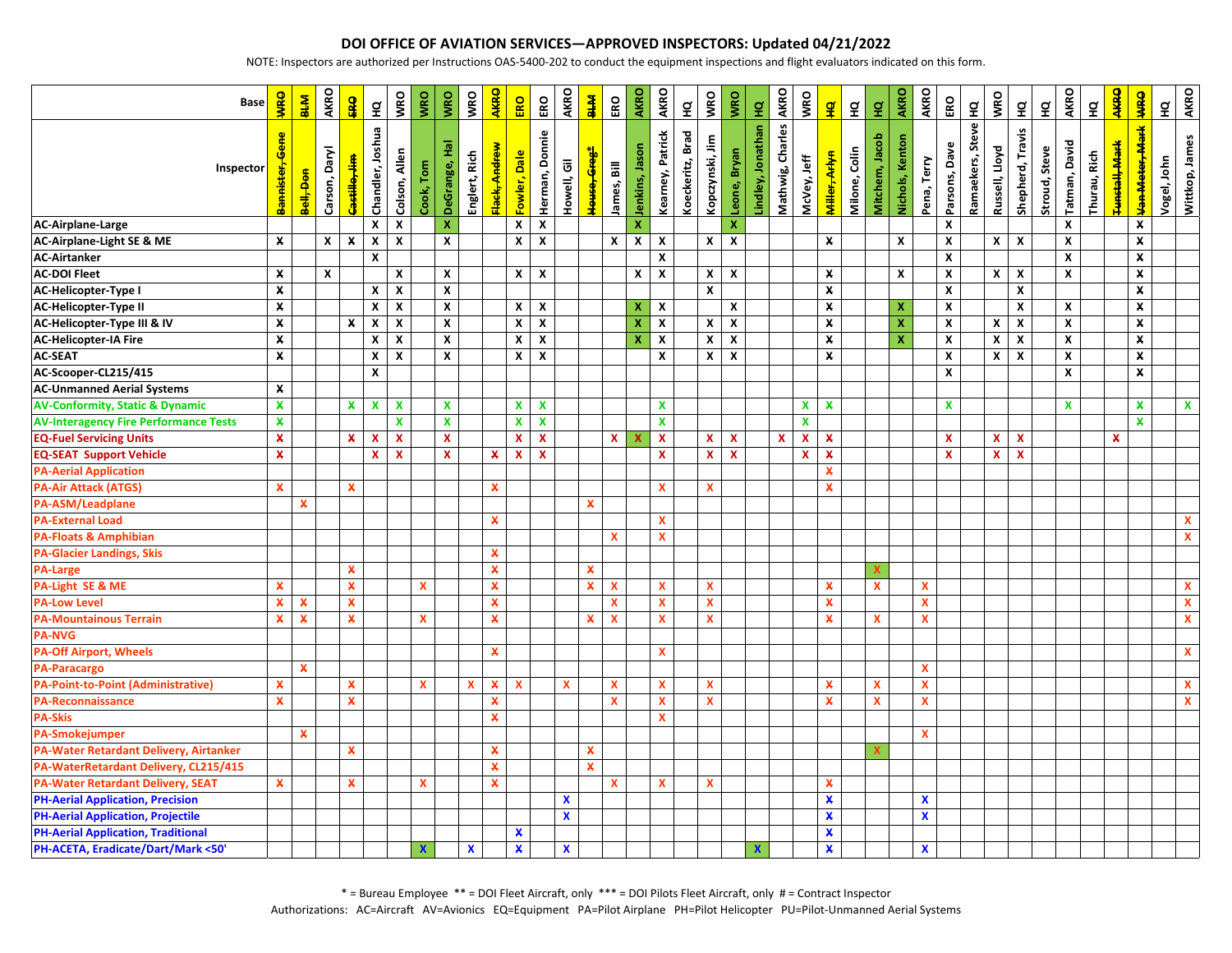## **DOI OFFICE OF AVIATION SERVICES—APPROVED INSPECTORS: Updated 04/21/2022**

NOTE: Inspectors are authorized per Instructions OAS-5400-202 to conduct the equipment inspections and flight evaluators indicated on this form.

| <b>Base</b>                                   | <b>WRO</b>         | <b>NH8</b>     | <b>AKRO</b>   | <b>Data</b>               | $\frac{a}{\pi}$           | <b>VRO</b>                | <b>WRO</b>   | <b>VRO</b>         | <b>VRO</b>    | <b>AKRO</b>               | ERO                | ERO                       | AKRO         | <b>KHR</b>                          | ERO                       | <b>AKRO</b>      | AKRO                      | $\tilde{a}$      | <b>VRO</b>         | <b>WRO</b>     | $\frac{1}{2}$     | <b>AKRO</b>      | <b>VRO</b>         | $\mathbf{g}$              | $\tilde{\mathbf{z}}$ | $\frac{\mathsf{d}}{\mathsf{d}}$ | AKRO               | AKRO                      | ERO                | $\tilde{\mathbf{z}}$ | <b>VRO</b>                | $\frac{q}{L}$             | $\tilde{\Xi}$ | AKRO               | $\tilde{\mathbf{z}}$ | <b>AKRO</b>                | <b>OHM</b>         | g           | <b>AKRO</b>        |
|-----------------------------------------------|--------------------|----------------|---------------|---------------------------|---------------------------|---------------------------|--------------|--------------------|---------------|---------------------------|--------------------|---------------------------|--------------|-------------------------------------|---------------------------|------------------|---------------------------|------------------|--------------------|----------------|-------------------|------------------|--------------------|---------------------------|----------------------|---------------------------------|--------------------|---------------------------|--------------------|----------------------|---------------------------|---------------------------|---------------|--------------------|----------------------|----------------------------|--------------------|-------------|--------------------|
| Inspector                                     | Bannister, Gene    | <b>Hod Haa</b> | Carson, Daryl | astilo, Jim               | Chandler, Joshua          | Colson, Allen             | Cook, Tom    | DeGrange, Hal      | Englert, Rich | Elack <del>, Andrew</del> | Fowler, Dale       | Herman, Donnie            | Howell, Gil  | House <del>, Greg<sup>*</sup></del> | lames, Bill               | Jenkins, Jason   | Kearney, Patrick          | Koeckeritz, Brad | Kopczynski, Jim    | Leone, Bryan   | Lindley, Jonathan | Mathwig, Charles | McVey, Jeff        | <b>Miller, Arlyn</b>      | Milone, Colin        | Vitchem, Jacob                  | Nichols, Kenton    | Pena, Terry               | Parsons, Dave      | Ramaekers, Steve     | Russell, Lloyd            | Shepherd, Travis          | Stroud, Steve | Tatman, David      | Thurau, Rich         | Funstall <del>, Mark</del> | Van Meter, Mark    | Vogel, John | Wittkop, James     |
| <b>AC-Airplane-Large</b>                      |                    |                |               |                           | X                         | $\boldsymbol{\mathsf{x}}$ |              | X                  |               |                           | $\pmb{\mathsf{x}}$ | $\boldsymbol{x}$          |              |                                     |                           | x                |                           |                  |                    | $\mathbf x$    |                   |                  |                    |                           |                      |                                 |                    |                           | $\pmb{\chi}$       |                      |                           |                           |               | $\mathbf{x}$       |                      |                            | X                  |             |                    |
| AC-Airplane-Light SE & ME                     | x                  |                | $\mathsf{x}$  | $\pmb{\chi}$              | $\pmb{\chi}$              | $\boldsymbol{x}$          |              | $\mathbf{x}$       |               |                           | $\mathbf x$        | $\boldsymbol{\mathsf{x}}$ |              |                                     | X                         | $\boldsymbol{x}$ | $\boldsymbol{\mathsf{x}}$ |                  | X                  | $\pmb{\chi}$   |                   |                  |                    | x                         |                      |                                 | X                  |                           | $\pmb{\mathsf{X}}$ |                      | $\mathsf{x}$              | $\boldsymbol{\mathsf{x}}$ |               | $\mathbf{x}$       |                      |                            | $\pmb{\mathsf{x}}$ |             |                    |
| <b>AC-Airtanker</b>                           |                    |                |               |                           | $\pmb{\mathsf{x}}$        |                           |              |                    |               |                           |                    |                           |              |                                     |                           |                  | $\pmb{\mathsf{x}}$        |                  |                    |                |                   |                  |                    |                           |                      |                                 |                    |                           | $\pmb{\mathsf{X}}$ |                      |                           |                           |               | $\pmb{\mathsf{x}}$ |                      |                            | $\pmb{\mathsf{x}}$ |             |                    |
| <b>AC-DOI Fleet</b>                           | x                  |                | X             |                           |                           | $\boldsymbol{x}$          |              | $\mathbf{x}$       |               |                           | $x \mid x$         |                           |              |                                     |                           | X                | $\boldsymbol{\mathsf{x}}$ |                  | X                  | $\pmb{\chi}$   |                   |                  |                    | X                         |                      |                                 | X                  |                           | $\pmb{\mathsf{X}}$ |                      | $\mathsf{x}$              | $\mathbf{x}$              |               | X                  |                      |                            | $\pmb{\times}$     |             |                    |
| <b>AC-Helicopter-Type I</b>                   | $\pmb{\times}$     |                |               |                           | $\pmb{\mathsf{x}}$        | $\pmb{\mathsf{x}}$        |              | $\pmb{\mathsf{X}}$ |               |                           |                    |                           |              |                                     |                           |                  |                           |                  | $\pmb{\mathsf{x}}$ |                |                   |                  |                    | $\pmb{\mathsf{X}}$        |                      |                                 |                    |                           | $\pmb{\mathsf{x}}$ |                      |                           | $\pmb{\times}$            |               |                    |                      |                            | $\pmb{\times}$     |             |                    |
| <b>AC-Helicopter-Type II</b>                  | $\pmb{\mathsf{X}}$ |                |               |                           | X                         | $\pmb{\mathsf{x}}$        |              | $\pmb{\mathsf{x}}$ |               |                           | $\mathbf x$        | $\pmb{\mathsf{x}}$        |              |                                     |                           | X.               | $\pmb{\mathsf{x}}$        |                  |                    | X              |                   |                  |                    | X                         |                      |                                 | $\pmb{\mathsf{x}}$ |                           | $\pmb{\mathsf{X}}$ |                      |                           | X                         |               | X                  |                      |                            | $\pmb{\times}$     |             |                    |
| AC-Helicopter-Type III & IV                   | $\pmb{\mathsf{x}}$ |                |               | $\pmb{\chi}$              | $\pmb{\chi}$              | $\pmb{\chi}$              |              | $\pmb{\chi}$       |               |                           | X                  | $\pmb{\mathsf{x}}$        |              |                                     |                           | X                | $\pmb{\mathsf{x}}$        |                  | X                  | $\pmb{\chi}$   |                   |                  |                    | x                         |                      |                                 | $\pmb{\mathsf{x}}$ |                           | X                  |                      | $\boldsymbol{\mathsf{x}}$ | $\boldsymbol{\mathsf{x}}$ |               | X                  |                      |                            | x                  |             |                    |
| <b>AC-Helicopter-IA Fire</b>                  | x                  |                |               |                           | $\pmb{\mathsf{x}}$        | $\pmb{\chi}$              |              | $\pmb{\chi}$       |               |                           | $\pmb{\chi}$       | $\pmb{\mathsf{x}}$        |              |                                     |                           | X                | $\pmb{\mathsf{x}}$        |                  | $\pmb{\mathsf{x}}$ | $\pmb{\times}$ |                   |                  |                    | $\pmb{\mathsf{x}}$        |                      |                                 | $\mathbf x$        |                           | $\pmb{\mathsf{X}}$ |                      | $\pmb{\chi}$              | $\pmb{\chi}$              |               | $\pmb{\mathsf{x}}$ |                      |                            | $\pmb{\mathsf{x}}$ |             |                    |
| <b>AC-SEAT</b>                                | $\pmb{\mathsf{x}}$ |                |               |                           | $\pmb{\mathsf{x}}$        | $\pmb{\chi}$              |              | X                  |               |                           | $\mathbf x$        | $\boldsymbol{\mathsf{x}}$ |              |                                     |                           |                  | X                         |                  | $\pmb{\chi}$       | $\pmb{\chi}$   |                   |                  |                    | $\pmb{\mathsf{x}}$        |                      |                                 |                    |                           | $\pmb{\mathsf{X}}$ |                      | $\pmb{\chi}$              | $\boldsymbol{\mathsf{x}}$ |               | $\pmb{\mathsf{x}}$ |                      |                            | $\pmb{\mathsf{x}}$ |             |                    |
| AC-Scooper-CL215/415                          |                    |                |               |                           | X                         |                           |              |                    |               |                           |                    |                           |              |                                     |                           |                  |                           |                  |                    |                |                   |                  |                    |                           |                      |                                 |                    |                           | $\mathbf{x}$       |                      |                           |                           |               | $\mathbf{x}$       |                      |                            | $\pmb{\times}$     |             |                    |
| <b>AC-Unmanned Aerial Systems</b>             | X                  |                |               |                           |                           |                           |              |                    |               |                           |                    |                           |              |                                     |                           |                  |                           |                  |                    |                |                   |                  |                    |                           |                      |                                 |                    |                           |                    |                      |                           |                           |               |                    |                      |                            |                    |             |                    |
| <b>AV-Conformity, Static &amp; Dynamic</b>    | $\pmb{\times}$     |                |               | $\pmb{\times}$            | $\pmb{\chi}$              | $\pmb{\chi}$              |              | $\pmb{\chi}$       |               |                           | $\mathbf{x}$       | $\boldsymbol{\mathsf{x}}$ |              |                                     |                           |                  | $\mathbf{x}$              |                  |                    |                |                   |                  | X                  | x                         |                      |                                 |                    |                           | $\mathbf{x}$       |                      |                           |                           |               | $\mathbf{x}$       |                      |                            | $\pmb{\times}$     |             | $\mathbf{x}$       |
| <b>AV-Interagency Fire Performance Tests</b>  | x                  |                |               |                           |                           | x                         |              | $\mathbf x$        |               |                           | $\pmb{\mathsf{x}}$ | $\pmb{\mathsf{x}}$        |              |                                     |                           |                  | $\mathbf x$               |                  |                    |                |                   |                  | $\pmb{\mathsf{x}}$ |                           |                      |                                 |                    |                           |                    |                      |                           |                           |               |                    |                      |                            | $\pmb{\times}$     |             |                    |
| <b>EQ-Fuel Servicing Units</b>                | x                  |                |               | $\mathbf{x}$              | $\boldsymbol{\mathsf{x}}$ | $\mathbf x$               |              | $\mathbf{x}$       |               |                           | $\mathbf{x}$       | $\mathbf{x}$              |              |                                     | X                         | x                | $\pmb{\mathsf{x}}$        |                  | $\mathbf{x}$       | $\mathbf{x}$   |                   | X                | x                  | x                         |                      |                                 |                    |                           | $\mathbf{x}$       |                      | <b>X</b>                  | $\mathbf{x}$              |               |                    |                      | $\mathbf{x}$               |                    |             |                    |
| <b>EQ-SEAT Support Vehicle</b>                | $\pmb{\times}$     |                |               |                           | x                         | $\mathbf x$               |              | $\mathbf x$        |               | $\pmb{\mathsf{x}}$        | $\pmb{\mathsf{x}}$ | $\mathbf{x}$              |              |                                     |                           |                  | $\mathbf{x}$              |                  | $\mathbf{x}$       | $\mathbf{x}$   |                   |                  | $\mathbf x$        | $\pmb{\times}$            |                      |                                 |                    |                           | $\mathbf{x}$       |                      | $\mathbf{x}$              | $\mathbf{x}$              |               |                    |                      |                            |                    |             |                    |
| <b>PA-Aerial Application</b>                  |                    |                |               |                           |                           |                           |              |                    |               |                           |                    |                           |              |                                     |                           |                  |                           |                  |                    |                |                   |                  |                    | X                         |                      |                                 |                    |                           |                    |                      |                           |                           |               |                    |                      |                            |                    |             |                    |
| <b>PA-Air Attack (ATGS)</b>                   | $\mathbf{x}$       |                |               | $\mathbf{x}$              |                           |                           |              |                    |               | X                         |                    |                           |              |                                     |                           |                  | $\mathbf{x}$              |                  | $\mathbf x$        |                |                   |                  |                    | ×                         |                      |                                 |                    |                           |                    |                      |                           |                           |               |                    |                      |                            |                    |             |                    |
| PA-ASM/Leadplane                              |                    | $\pmb{\times}$ |               |                           |                           |                           |              |                    |               |                           |                    |                           |              | $\mathbf x$                         |                           |                  |                           |                  |                    |                |                   |                  |                    |                           |                      |                                 |                    |                           |                    |                      |                           |                           |               |                    |                      |                            |                    |             |                    |
| <b>PA-External Load</b>                       |                    |                |               |                           |                           |                           |              |                    |               | $\pmb{\times}$            |                    |                           |              |                                     |                           |                  | $\mathbf{x}$              |                  |                    |                |                   |                  |                    |                           |                      |                                 |                    |                           |                    |                      |                           |                           |               |                    |                      |                            |                    |             | $\mathbf{x}$       |
| <b>PA-Floats &amp; Amphibian</b>              |                    |                |               |                           |                           |                           |              |                    |               |                           |                    |                           |              |                                     | X                         |                  | $\mathbf{x}$              |                  |                    |                |                   |                  |                    |                           |                      |                                 |                    |                           |                    |                      |                           |                           |               |                    |                      |                            |                    |             | $\mathbf{x}$       |
| <b>PA-Glacier Landings, Skis</b>              |                    |                |               |                           |                           |                           |              |                    |               | $\boldsymbol{x}$          |                    |                           |              |                                     |                           |                  |                           |                  |                    |                |                   |                  |                    |                           |                      |                                 |                    |                           |                    |                      |                           |                           |               |                    |                      |                            |                    |             |                    |
| <b>PA-Large</b>                               |                    |                |               | $\pmb{\times}$            |                           |                           |              |                    |               | $\pmb{\times}$            |                    |                           |              | $\boldsymbol{\mathsf{x}}$           |                           |                  |                           |                  |                    |                |                   |                  |                    |                           |                      | $\boldsymbol{\mathsf{x}}$       |                    |                           |                    |                      |                           |                           |               |                    |                      |                            |                    |             |                    |
| PA-Light SE & ME                              | x                  |                |               | $\pmb{\times}$            |                           |                           | X            |                    |               | X                         |                    |                           |              | $\pmb{\times}$                      | $\boldsymbol{\mathsf{x}}$ |                  | $\mathbf{x}$              |                  | $\mathbf{x}$       |                |                   |                  |                    | ×                         |                      | $\mathbf{x}$                    |                    | $\boldsymbol{\mathsf{x}}$ |                    |                      |                           |                           |               |                    |                      |                            |                    |             | $\mathbf{x}$       |
| <b>PA-Low Level</b>                           | x                  | $\pmb{\times}$ |               | $\pmb{\times}$            |                           |                           |              |                    |               | $\pmb{\times}$            |                    |                           |              |                                     | $\mathbf x$               |                  | $\mathbf{x}$              |                  | $\mathbf x$        |                |                   |                  |                    | $\pmb{\times}$            |                      |                                 |                    | $\mathbf{x}$              |                    |                      |                           |                           |               |                    |                      |                            |                    |             | $\pmb{\mathsf{x}}$ |
| <b>PA-Mountainous Terrain</b>                 | x                  | $\pmb{\times}$ |               | $\pmb{\times}$            |                           |                           | <b>X</b>     |                    |               | $\pmb{\times}$            |                    |                           |              | X.                                  | $\mathbf x$               |                  | x                         |                  | $\mathbf x$        |                |                   |                  |                    | ×                         |                      | $\mathbf{x}$                    |                    | $\mathbf x$               |                    |                      |                           |                           |               |                    |                      |                            |                    |             | $\mathbf{x}$       |
| <b>PA-NVG</b>                                 |                    |                |               |                           |                           |                           |              |                    |               |                           |                    |                           |              |                                     |                           |                  |                           |                  |                    |                |                   |                  |                    |                           |                      |                                 |                    |                           |                    |                      |                           |                           |               |                    |                      |                            |                    |             |                    |
| <b>PA-Off Airport, Wheels</b>                 |                    |                |               |                           |                           |                           |              |                    |               | X                         |                    |                           |              |                                     |                           |                  | $\pmb{\mathsf{x}}$        |                  |                    |                |                   |                  |                    |                           |                      |                                 |                    |                           |                    |                      |                           |                           |               |                    |                      |                            |                    |             | $\mathbf{x}$       |
| <b>PA-Paracargo</b>                           |                    | $\mathbf x$    |               |                           |                           |                           |              |                    |               |                           |                    |                           |              |                                     |                           |                  |                           |                  |                    |                |                   |                  |                    |                           |                      |                                 |                    | $\boldsymbol{\mathsf{x}}$ |                    |                      |                           |                           |               |                    |                      |                            |                    |             |                    |
| <b>PA-Point-to-Point (Administrative)</b>     | x                  |                |               | $\boldsymbol{\mathsf{x}}$ |                           |                           | <b>X</b>     |                    | $\mathbf x$   | $\boldsymbol{\mathsf{x}}$ | $\mathbf{x}$       |                           | $\mathbf{x}$ |                                     | $\mathbf x$               |                  | $\mathbf{x}$              |                  | $\mathbf{x}$       |                |                   |                  |                    | $\pmb{\times}$            |                      | $\mathbf{x}$                    |                    | $\boldsymbol{\mathsf{x}}$ |                    |                      |                           |                           |               |                    |                      |                            |                    |             | $\mathbf{x}$       |
| <b>PA-Reconnaissance</b>                      | x                  |                |               | $\pmb{\times}$            |                           |                           |              |                    |               | $\pmb{\times}$            |                    |                           |              |                                     | X                         |                  | $\pmb{\mathsf{x}}$        |                  | $\mathbf{x}$       |                |                   |                  |                    | x                         |                      | $\mathbf{x}$                    |                    | $\mathbf x$               |                    |                      |                           |                           |               |                    |                      |                            |                    |             | $\mathbf{x}$       |
| <b>PA-Skis</b>                                |                    |                |               |                           |                           |                           |              |                    |               | $\pmb{\times}$            |                    |                           |              |                                     |                           |                  | X                         |                  |                    |                |                   |                  |                    |                           |                      |                                 |                    |                           |                    |                      |                           |                           |               |                    |                      |                            |                    |             |                    |
| <b>PA-Smokejumper</b>                         |                    | $\pmb{\times}$ |               |                           |                           |                           |              |                    |               |                           |                    |                           |              |                                     |                           |                  |                           |                  |                    |                |                   |                  |                    |                           |                      |                                 |                    | $\mathbf{x}$              |                    |                      |                           |                           |               |                    |                      |                            |                    |             |                    |
| <b>PA-Water Retardant Delivery, Airtanker</b> |                    |                |               | $\pmb{\times}$            |                           |                           |              |                    |               | X                         |                    |                           |              | $\pmb{\times}$                      |                           |                  |                           |                  |                    |                |                   |                  |                    |                           |                      | $\boldsymbol{\mathsf{x}}$       |                    |                           |                    |                      |                           |                           |               |                    |                      |                            |                    |             |                    |
| PA-WaterRetardant Delivery, CL215/415         |                    |                |               |                           |                           |                           |              |                    |               | $\pmb{\times}$            |                    |                           |              | $\mathbf x$                         |                           |                  |                           |                  |                    |                |                   |                  |                    |                           |                      |                                 |                    |                           |                    |                      |                           |                           |               |                    |                      |                            |                    |             |                    |
| <b>PA-Water Retardant Delivery, SEAT</b>      | ×                  |                |               | $\pmb{\times}$            |                           |                           | X            |                    |               | $\pmb{\times}$            |                    |                           |              |                                     | $\mathbf{x}$              |                  | $\mathbf{x}$              |                  | $\mathbf{x}$       |                |                   |                  |                    | ×                         |                      |                                 |                    |                           |                    |                      |                           |                           |               |                    |                      |                            |                    |             |                    |
| <b>PH-Aerial Application, Precision</b>       |                    |                |               |                           |                           |                           |              |                    |               |                           |                    |                           | $\mathbf x$  |                                     |                           |                  |                           |                  |                    |                |                   |                  |                    | $\mathbf x$               |                      |                                 |                    | $\boldsymbol{\mathsf{x}}$ |                    |                      |                           |                           |               |                    |                      |                            |                    |             |                    |
| <b>PH-Aerial Application, Projectile</b>      |                    |                |               |                           |                           |                           |              |                    |               |                           |                    |                           | $\mathbf{x}$ |                                     |                           |                  |                           |                  |                    |                |                   |                  |                    | $\boldsymbol{\mathsf{x}}$ |                      |                                 |                    | $\mathbf{x}$              |                    |                      |                           |                           |               |                    |                      |                            |                    |             |                    |
| <b>PH-Aerial Application, Traditional</b>     |                    |                |               |                           |                           |                           |              |                    |               |                           | $\pmb{\times}$     |                           |              |                                     |                           |                  |                           |                  |                    |                |                   |                  |                    | X                         |                      |                                 |                    |                           |                    |                      |                           |                           |               |                    |                      |                            |                    |             |                    |
| PH-ACETA, Eradicate/Dart/Mark <50'            |                    |                |               |                           |                           |                           | $\mathbf{x}$ |                    | $\mathbf{x}$  |                           | $\pmb{\times}$     |                           | $\mathbf x$  |                                     |                           |                  |                           |                  |                    |                | $\mathbf x$       |                  |                    | ×                         |                      |                                 |                    | $\mathbf x$               |                    |                      |                           |                           |               |                    |                      |                            |                    |             |                    |